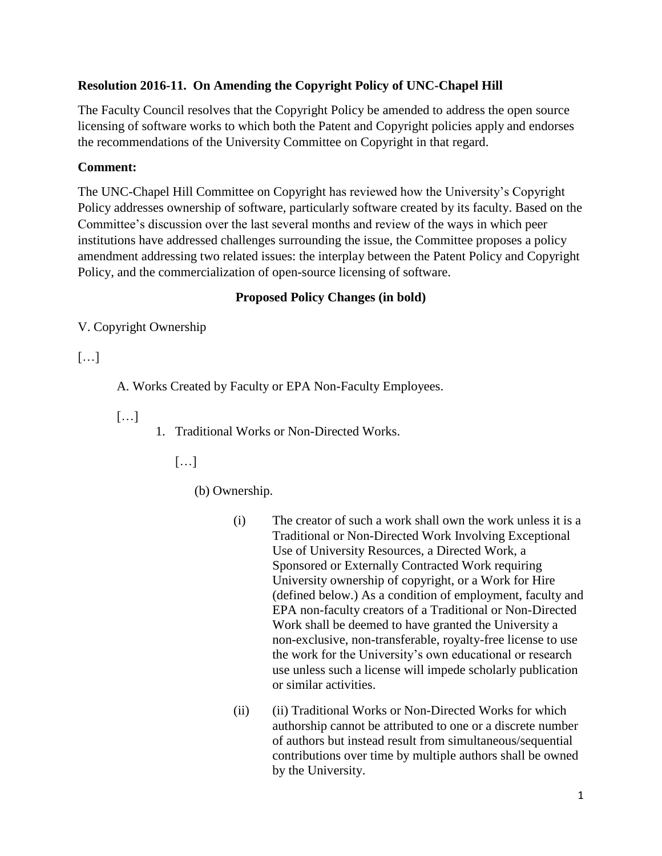## **Resolution 2016-11. On Amending the Copyright Policy of UNC-Chapel Hill**

The Faculty Council resolves that the Copyright Policy be amended to address the open source licensing of software works to which both the Patent and Copyright policies apply and endorses the recommendations of the University Committee on Copyright in that regard.

## **Comment:**

The UNC-Chapel Hill Committee on Copyright has reviewed how the University's Copyright Policy addresses ownership of software, particularly software created by its faculty. Based on the Committee's discussion over the last several months and review of the ways in which peer institutions have addressed challenges surrounding the issue, the Committee proposes a policy amendment addressing two related issues: the interplay between the Patent Policy and Copyright Policy, and the commercialization of open-source licensing of software.

## **Proposed Policy Changes (in bold)**

V. Copyright Ownership

## $\lceil \dots \rceil$

A. Works Created by Faculty or EPA Non-Faculty Employees.

- […]
- 1. Traditional Works or Non-Directed Works.

[…]

(b) Ownership.

- (i) The creator of such a work shall own the work unless it is a Traditional or Non-Directed Work Involving Exceptional Use of University Resources, a Directed Work, a Sponsored or Externally Contracted Work requiring University ownership of copyright, or a Work for Hire (defined below.) As a condition of employment, faculty and EPA non-faculty creators of a Traditional or Non-Directed Work shall be deemed to have granted the University a non-exclusive, non-transferable, royalty-free license to use the work for the University's own educational or research use unless such a license will impede scholarly publication or similar activities.
- (ii) (ii) Traditional Works or Non-Directed Works for which authorship cannot be attributed to one or a discrete number of authors but instead result from simultaneous/sequential contributions over time by multiple authors shall be owned by the University.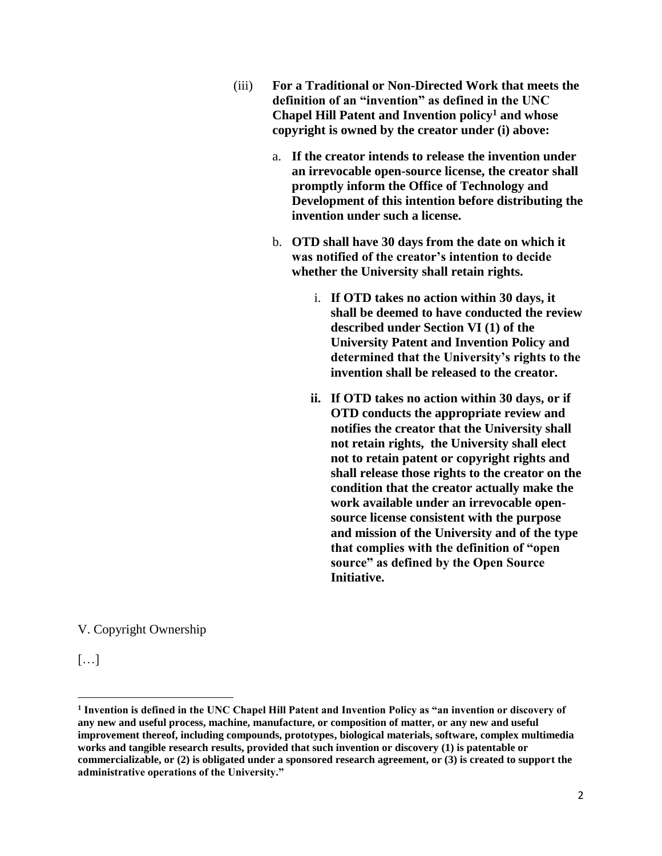- (iii) **For a Traditional or Non-Directed Work that meets the definition of an "invention" as defined in the UNC Chapel Hill Patent and Invention policy<sup>1</sup> and whose copyright is owned by the creator under (i) above:** 
	- a. **If the creator intends to release the invention under an irrevocable open-source license, the creator shall promptly inform the Office of Technology and Development of this intention before distributing the invention under such a license.**
	- b. **OTD shall have 30 days from the date on which it was notified of the creator's intention to decide whether the University shall retain rights.** 
		- i. **If OTD takes no action within 30 days, it shall be deemed to have conducted the review described under Section VI (1) of the University Patent and Invention Policy and determined that the University's rights to the invention shall be released to the creator.**
		- **ii. If OTD takes no action within 30 days, or if OTD conducts the appropriate review and notifies the creator that the University shall not retain rights, the University shall elect not to retain patent or copyright rights and shall release those rights to the creator on the condition that the creator actually make the work available under an irrevocable opensource license consistent with the purpose and mission of the University and of the type that complies with the definition of "open source" as defined by the Open Source Initiative.**

V. Copyright Ownership

[…]

l

**<sup>1</sup> Invention is defined in the UNC Chapel Hill Patent and Invention Policy as "an invention or discovery of any new and useful process, machine, manufacture, or composition of matter, or any new and useful improvement thereof, including compounds, prototypes, biological materials, software, complex multimedia works and tangible research results, provided that such invention or discovery (1) is patentable or commercializable, or (2) is obligated under a sponsored research agreement, or (3) is created to support the administrative operations of the University."**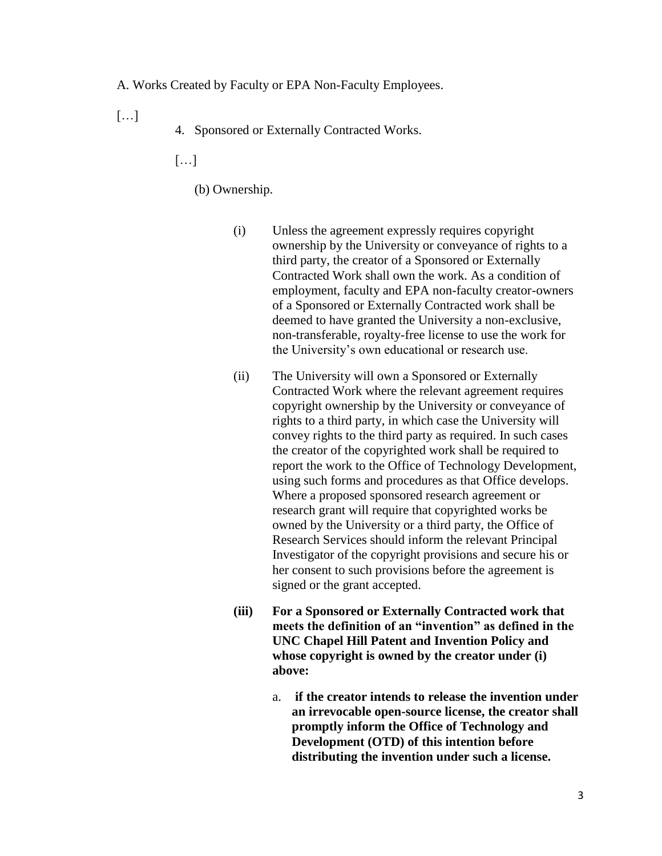A. Works Created by Faculty or EPA Non-Faculty Employees.

 $\lceil \dots \rceil$ 

4. Sponsored or Externally Contracted Works.

 $[\ldots]$ 

(b) Ownership.

- (i) Unless the agreement expressly requires copyright ownership by the University or conveyance of rights to a third party, the creator of a Sponsored or Externally Contracted Work shall own the work. As a condition of employment, faculty and EPA non-faculty creator-owners of a Sponsored or Externally Contracted work shall be deemed to have granted the University a non-exclusive, non-transferable, royalty-free license to use the work for the University's own educational or research use.
- (ii) The University will own a Sponsored or Externally Contracted Work where the relevant agreement requires copyright ownership by the University or conveyance of rights to a third party, in which case the University will convey rights to the third party as required. In such cases the creator of the copyrighted work shall be required to report the work to the Office of Technology Development, using such forms and procedures as that Office develops. Where a proposed sponsored research agreement or research grant will require that copyrighted works be owned by the University or a third party, the Office of Research Services should inform the relevant Principal Investigator of the copyright provisions and secure his or her consent to such provisions before the agreement is signed or the grant accepted.
- **(iii) For a Sponsored or Externally Contracted work that meets the definition of an "invention" as defined in the UNC Chapel Hill Patent and Invention Policy and whose copyright is owned by the creator under (i) above:**
	- a. **if the creator intends to release the invention under an irrevocable open-source license, the creator shall promptly inform the Office of Technology and Development (OTD) of this intention before distributing the invention under such a license.**